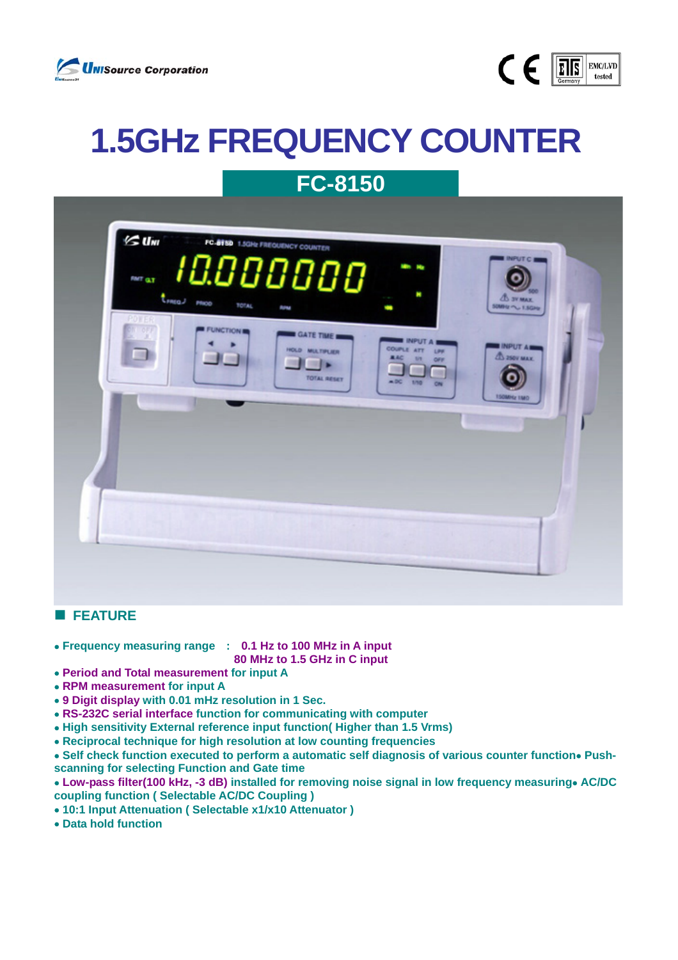



## **1.5GHz FREQUENCY COUNTER FC-8150**

| $\leq$ Um<br>FC.8150 1.5GHz FREQUENCY COUNTER<br><b>INPUTCE</b><br>10.00000<br><b>MPH</b> High<br>FMT G.T<br>×<br>times moo<br><b>CO 3V MAX</b><br><b>TOTAL</b><br><b>SUMMY ~~~ 1.5GHz</b><br><b>RUNA</b><br>٠<br><b>PDIER</b><br><b>IN OFF</b><br>FUNCTION IN<br>GATE TIME<br><b>INPUT A</b><br><b>INPUT Am</b><br><b>COUPLE ATT</b><br>HOLD MULTIPLIER<br>LPR<br><b>A</b> 250V MAX.<br><b>AAC</b><br>3/8<br>OFF<br><b>STATISTICS</b><br>TOTAL RESET<br>$-DC$<br>1/10<br><b>150MHz TMO</b> |  |
|---------------------------------------------------------------------------------------------------------------------------------------------------------------------------------------------------------------------------------------------------------------------------------------------------------------------------------------------------------------------------------------------------------------------------------------------------------------------------------------------|--|
|                                                                                                                                                                                                                                                                                                                                                                                                                                                                                             |  |

## **FEATURE**

- • **Frequency measuring range : 0.1 Hz to 100 MHz in A input**
- **80 MHz to 1.5 GHz in C input**
- **Period and Total measurement for input A**
- **RPM measurement for input A**
- **9 Digit display with 0.01 mHz resolution in 1 Sec.**
- **RS-232C serial interface function for communicating with computer**
- • **High sensitivity External reference input function( Higher than 1.5 Vrms)**
- • **Reciprocal technique for high resolution at low counting frequencies**
- • **Self check function executed to perform a automatic self diagnosis of various counter function**• **Pushscanning for selecting Function and Gate time**
- **Low-pass filter(100 kHz, -3 dB) installed for removing noise signal in low frequency measuring**• **AC/DC coupling function ( Selectable AC/DC Coupling )**
- • **10:1 Input Attenuation ( Selectable x1/x10 Attenuator )**
- • **Data hold function**